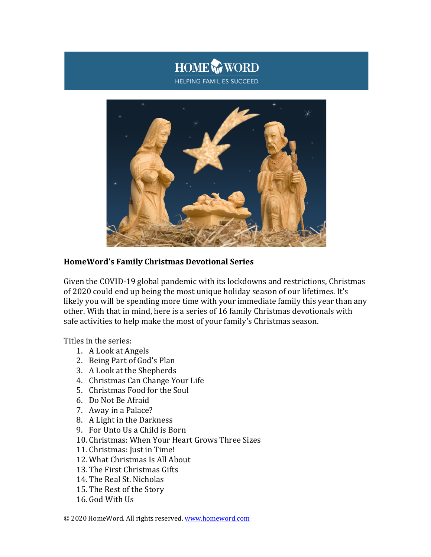



# **HomeWord's Family Christmas Devotional Series**

Given the COVID-19 global pandemic with its lockdowns and restrictions, Christmas of 2020 could end up being the most unique holiday season of our lifetimes. It's likely you will be spending more time with your immediate family this year than any other. With that in mind, here is a series of 16 family Christmas devotionals with safe activities to help make the most of your family's Christmas season.

Titles in the series:

- 1. A Look at Angels
- 2. Being Part of God's Plan
- 3. A Look at the Shepherds
- 4. Christmas Can Change Your Life
- 5. Christmas Food for the Soul
- 6. Do Not Be Afraid
- 7. Away in a Palace?
- 8. A Light in the Darkness
- 9. For Unto Us a Child is Born
- 10. Christmas: When Your Heart Grows Three Sizes
- 11. Christmas: Just in Time!
- 12. What Christmas Is All About
- 13. The First Christmas Gifts
- 14. The Real St. Nicholas
- 15. The Rest of the Story
- 16. God With Us

© 2020 HomeWord. All rights reserved. www.homeword.com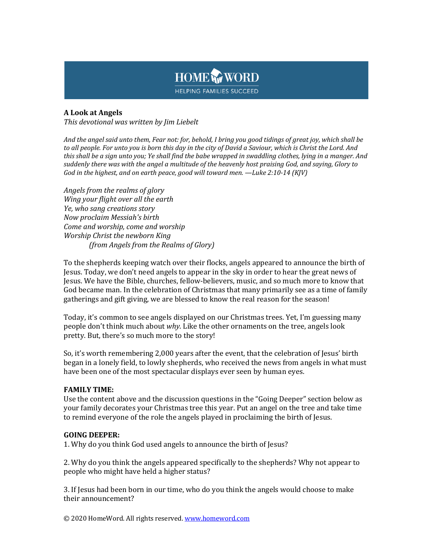

## **A Look at Angels**

This devotional was written by *Jim Liebelt* 

And the angel said unto them, Fear not: for, behold, I bring you good tidings of great joy, which shall be to all people. For unto you is born this day in the city of David a Saviour, which is Christ the Lord. And *this* shall be a sign unto you; Ye shall find the babe wrapped in swaddling clothes, lying in a manger. And suddenly there was with the angel a multitude of the heavenly host praising God, and saying, Glory to *God* in the highest, and on earth peace, good will toward men. —Luke 2:10-14 (KJV)

*Angels from the realms of glory Wing* your flight over all the earth Ye, who sang creations story *Now proclaim Messiah's birth Come and worship, come and worship Worship Christ the newborn King (from Angels from the Realms of Glory)*

To the shepherds keeping watch over their flocks, angels appeared to announce the birth of Jesus. Today, we don't need angels to appear in the sky in order to hear the great news of Jesus. We have the Bible, churches, fellow-believers, music, and so much more to know that God became man. In the celebration of Christmas that many primarily see as a time of family gatherings and gift giving, we are blessed to know the real reason for the season!

Today, it's common to see angels displayed on our Christmas trees. Yet, I'm guessing many people don't think much about why. Like the other ornaments on the tree, angels look pretty. But, there's so much more to the story!

So, it's worth remembering 2,000 years after the event, that the celebration of Jesus' birth began in a lonely field, to lowly shepherds, who received the news from angels in what must have been one of the most spectacular displays ever seen by human eyes.

### **FAMILY TIME:**

Use the content above and the discussion questions in the "Going Deeper" section below as your family decorates your Christmas tree this year. Put an angel on the tree and take time to remind everyone of the role the angels played in proclaiming the birth of Jesus.

### **GOING DEEPER:**

1. Why do you think God used angels to announce the birth of Jesus?

2. Why do you think the angels appeared specifically to the shepherds? Why not appear to people who might have held a higher status?

3. If Jesus had been born in our time, who do you think the angels would choose to make their announcement?

© 2020 HomeWord. All rights reserved. www.homeword.com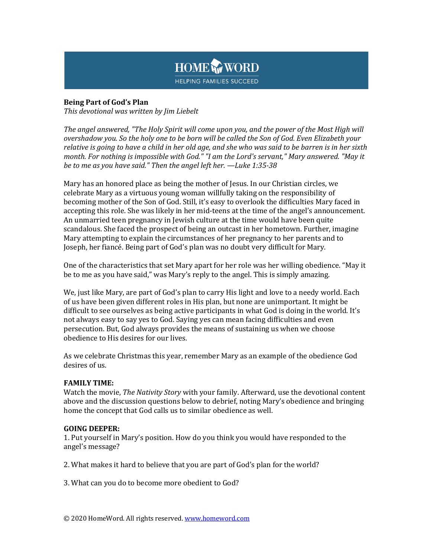

## **Being Part of God's Plan**

*This devotional was written by Jim Liebelt*

The angel answered, "The Holy Spirit will come upon you, and the power of the Most High will *overshadow you.* So the holy one to be born will be called the Son of God. Even Elizabeth your *relative* is going to have a child in her old age, and she who was said to be barren is in her sixth *month.* For nothing is impossible with God." "I am the Lord's servant," Mary answered. "May it *be to me as you have said."* Then the angel left her. —Luke 1:35-38

Mary has an honored place as being the mother of Jesus. In our Christian circles, we celebrate Mary as a virtuous young woman willfully taking on the responsibility of becoming mother of the Son of God. Still, it's easy to overlook the difficulties Mary faced in accepting this role. She was likely in her mid-teens at the time of the angel's announcement. An unmarried teen pregnancy in Jewish culture at the time would have been quite scandalous. She faced the prospect of being an outcast in her hometown. Further, imagine Mary attempting to explain the circumstances of her pregnancy to her parents and to Joseph, her fiancé. Being part of God's plan was no doubt very difficult for Mary.

One of the characteristics that set Mary apart for her role was her willing obedience. "May it be to me as you have said," was Mary's reply to the angel. This is simply amazing.

We, just like Mary, are part of God's plan to carry His light and love to a needy world. Each of us have been given different roles in His plan, but none are unimportant. It might be difficult to see ourselves as being active participants in what God is doing in the world. It's not always easy to say yes to God. Saying yes can mean facing difficulties and even persecution. But, God always provides the means of sustaining us when we choose obedience to His desires for our lives.

As we celebrate Christmas this year, remember Mary as an example of the obedience God desires of us.

## **FAMILY TIME:**

Watch the movie, *The Nativity Story* with your family. Afterward, use the devotional content above and the discussion questions below to debrief, noting Mary's obedience and bringing home the concept that God calls us to similar obedience as well.

### **GOING DEEPER:**

1. Put yourself in Mary's position. How do you think you would have responded to the angel's message?

2. What makes it hard to believe that you are part of God's plan for the world?

3. What can you do to become more obedient to God?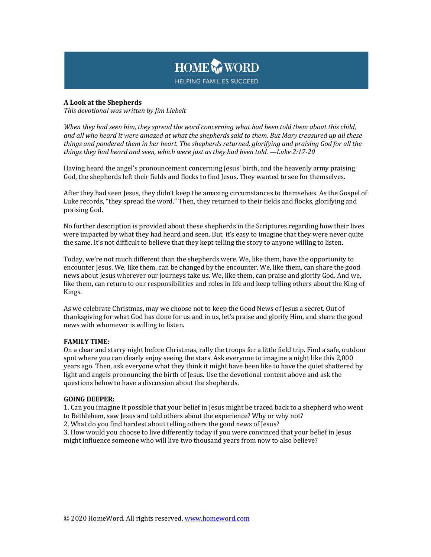

### **A Look at the Shepherds**

This devotional was written by *Jim Liebelt* 

When they had seen him, they spread the word concerning what had been told them about this child, and all who heard it were amazed at what the shepherds said to them. But Mary treasured up all these things and pondered them in her heart. The shepherds returned, glorifying and praising God for all the things they had heard and seen, which were just as they had been told. —Luke 2:17-20

Having heard the angel's pronouncement concerning Jesus' birth, and the heavenly army praising God, the shepherds left their fields and flocks to find Jesus. They wanted to see for themselves.

After they had seen Jesus, they didn't keep the amazing circumstances to themselves. As the Gospel of Luke records, "they spread the word." Then, they returned to their fields and flocks, glorifying and praising God.

No further description is provided about these shepherds in the Scriptures regarding how their lives were impacted by what they had heard and seen. But, it's easy to imagine that they were never quite the same. It's not difficult to believe that they kept telling the story to anyone willing to listen.

Today, we're not much different than the shepherds were. We, like them, have the opportunity to encounter Jesus. We, like them, can be changed by the encounter. We, like them, can share the good news about Jesus wherever our journeys take us. We, like them, can praise and glorify God. And we, like them, can return to our responsibilities and roles in life and keep telling others about the King of Kings.

As we celebrate Christmas, may we choose not to keep the Good News of Jesus a secret. Out of thanksgiving for what God has done for us and in us, let's praise and glorify Him, and share the good news with whomever is willing to listen.

### **FAMILY TIME:**

On a clear and starry night before Christmas, rally the troops for a little field trip. Find a safe, outdoor spot where you can clearly enjoy seeing the stars. Ask everyone to imagine a night like this 2,000 years ago. Then, ask everyone what they think it might have been like to have the quiet shattered by light and angels pronouncing the birth of Jesus. Use the devotional content above and ask the questions below to have a discussion about the shepherds.

### **GOING DEEPER:**

1. Can you imagine it possible that your belief in Jesus might be traced back to a shepherd who went to Bethlehem, saw Jesus and told others about the experience? Why or why not?

2. What do you find hardest about telling others the good news of Jesus?

3. How would you choose to live differently today if you were convinced that your belief in Jesus might influence someone who will live two thousand years from now to also believe?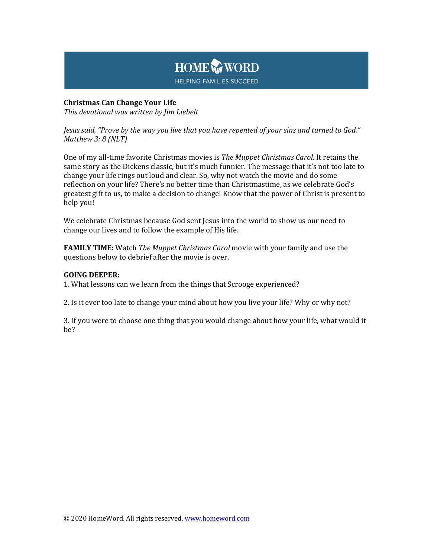

## **Christmas Can Change Your Life**

This devotional was written by Jim Liebelt

Jesus said, "Prove by the way you live that you have repented of your sins and turned to God." *Matthew 3: 8 (NLT)*

One of my all-time favorite Christmas movies is *The Muppet Christmas Carol.* It retains the same story as the Dickens classic, but it's much funnier. The message that it's not too late to change your life rings out loud and clear. So, why not watch the movie and do some reflection on your life? There's no better time than Christmastime, as we celebrate God's greatest gift to us, to make a decision to change! Know that the power of Christ is present to help you!

We celebrate Christmas because God sent Jesus into the world to show us our need to change our lives and to follow the example of His life.

**FAMILY TIME:** Watch *The Muppet Christmas Carol* movie with your family and use the questions below to debrief after the movie is over.

## **GOING DEEPER:**

1. What lessons can we learn from the things that Scrooge experienced?

2. Is it ever too late to change your mind about how you live your life? Why or why not?

3. If you were to choose one thing that you would change about how your life, what would it be?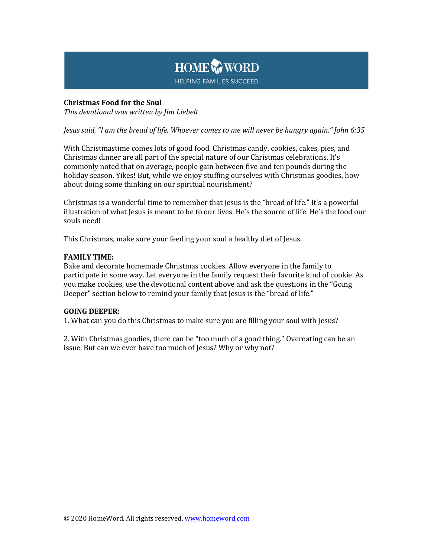

## **Christmas Food for the Soul**

*This devotional was written by Jim Liebelt*

*Jesus said, "I am the bread of life. Whoever comes to me will never be hungry again." John 6:35*

With Christmastime comes lots of good food. Christmas candy, cookies, cakes, pies, and Christmas dinner are all part of the special nature of our Christmas celebrations. It's commonly noted that on average, people gain between five and ten pounds during the holiday season. Yikes! But, while we enjoy stuffing ourselves with Christmas goodies, how about doing some thinking on our spiritual nourishment?

Christmas is a wonderful time to remember that Jesus is the "bread of life." It's a powerful illustration of what lesus is meant to be to our lives. He's the source of life. He's the food our souls need!

This Christmas, make sure your feeding your soul a healthy diet of Jesus.

## **FAMILY TIME:**

Bake and decorate homemade Christmas cookies. Allow everyone in the family to participate in some way. Let everyone in the family request their favorite kind of cookie. As you make cookies, use the devotional content above and ask the questions in the "Going" Deeper" section below to remind your family that Jesus is the "bread of life."

### **GOING DEEPER:**

1. What can you do this Christmas to make sure you are filling your soul with Jesus?

2. With Christmas goodies, there can be "too much of a good thing." Overeating can be an issue. But can we ever have too much of Jesus? Why or why not?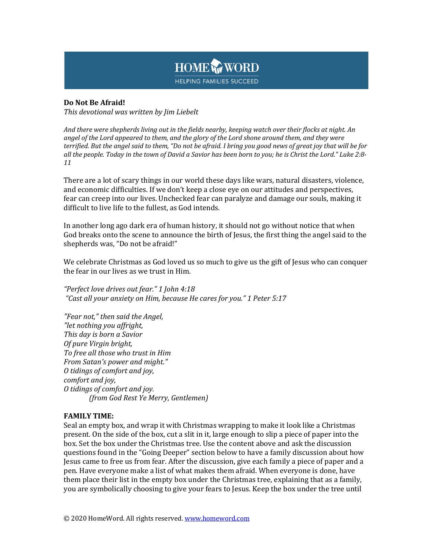

## **Do Not Be Afraid!**

*This devotional was written by Jim Liebelt*

And there were shepherds living out in the fields nearby, keeping watch over their flocks at night. An angel of the Lord appeared to them, and the glory of the Lord shone around them, and they were *terrified.* But the angel said to them, "Do not be afraid. I bring you good news of great joy that will be for *all* the people. Today in the town of David a Savior has been born to you; he is Christ the Lord." Luke 2:8-*11*

There are a lot of scary things in our world these days like wars, natural disasters, violence, and economic difficulties. If we don't keep a close eye on our attitudes and perspectives, fear can creep into our lives. Unchecked fear can paralyze and damage our souls, making it difficult to live life to the fullest, as God intends.

In another long ago dark era of human history, it should not go without notice that when God breaks onto the scene to announce the birth of Jesus, the first thing the angel said to the shepherds was, "Do not be afraid!"

We celebrate Christmas as God loved us so much to give us the gift of Jesus who can conquer the fear in our lives as we trust in Him.

*"Perfect love drives out fear." 1 John 4:18 "Cast all your anxiety on Him, because He cares for you." 1 Peter 5:17*

*"Fear not," then said the Angel, "let nothing you affright, This day is born a Savior Of pure Virgin bright, To free all those who trust in Him From Satan's power and might." O tidings of comfort and joy, comfort and joy, O tidings of comfort and joy. (from God Rest Ye Merry, Gentlemen)*

## **FAMILY TIME:**

Seal an empty box, and wrap it with Christmas wrapping to make it look like a Christmas present. On the side of the box, cut a slit in it, large enough to slip a piece of paper into the box. Set the box under the Christmas tree. Use the content above and ask the discussion questions found in the "Going Deeper" section below to have a family discussion about how Jesus came to free us from fear. After the discussion, give each family a piece of paper and a pen. Have everyone make a list of what makes them afraid. When everyone is done, have them place their list in the empty box under the Christmas tree, explaining that as a family, you are symbolically choosing to give your fears to Jesus. Keep the box under the tree until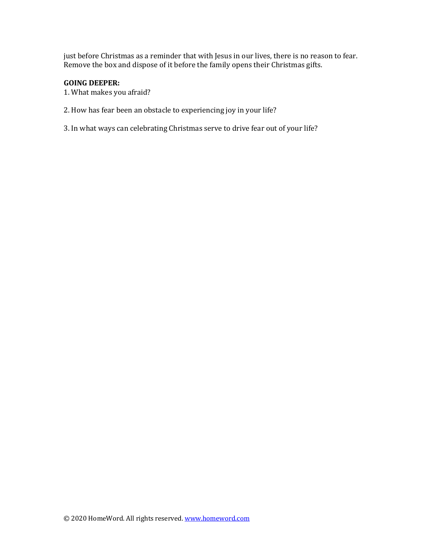just before Christmas as a reminder that with Jesus in our lives, there is no reason to fear. Remove the box and dispose of it before the family opens their Christmas gifts.

## **GOING DEEPER:**

- 1. What makes you afraid?
- 2. How has fear been an obstacle to experiencing joy in your life?
- 3. In what ways can celebrating Christmas serve to drive fear out of your life?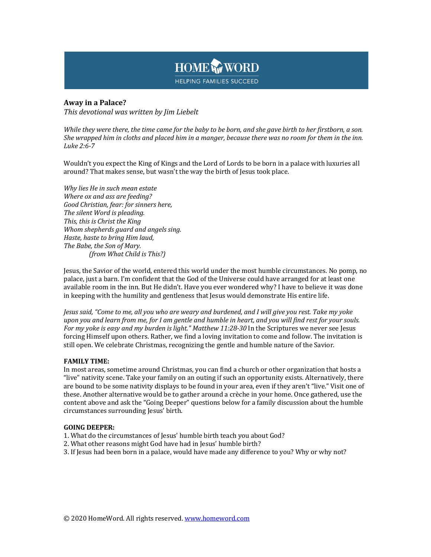

## **Away in a Palace?**

*This devotional was written by Jim Liebelt*

*While they were there, the time came for the baby to be born, and she gave birth to her firstborn, a son. She* wrapped him in cloths and placed him in a manger, because there was no room for them in the inn. *Luke 2:6-7*

Wouldn't you expect the King of Kings and the Lord of Lords to be born in a palace with luxuries all around? That makes sense, but wasn't the way the birth of Jesus took place.

*Why lies He in such mean estate Where ox and ass are feeding? Good Christian, fear: for sinners here,* The silent Word is pleading. This, this is Christ the King *Whom shepherds quard and angels sing. Haste, haste to bring Him laud,* The Babe, the Son of Mary. *(from What Child is This?)*

Jesus, the Savior of the world, entered this world under the most humble circumstances. No pomp, no palace, just a barn. I'm confident that the God of the Universe could have arranged for at least one available room in the inn. But He didn't. Have you ever wondered why? I have to believe it was done in keeping with the humility and gentleness that Jesus would demonstrate His entire life.

*Jesus said, "Come to me, all you who are weary and burdened, and I will give you rest. Take my yoke* upon you and learn from me, for I am gentle and humble in heart, and you will find rest for your souls. *For my yoke is easy and my burden is light." Matthew 11:28-30 In the Scriptures we never see Jesus* forcing Himself upon others. Rather, we find a loving invitation to come and follow. The invitation is still open. We celebrate Christmas, recognizing the gentle and humble nature of the Savior.

### **FAMILY TIME:**

In most areas, sometime around Christmas, you can find a church or other organization that hosts a "live" nativity scene. Take your family on an outing if such an opportunity exists. Alternatively, there are bound to be some nativity displays to be found in your area, even if they aren't "live." Visit one of these. Another alternative would be to gather around a crèche in your home. Once gathered, use the content above and ask the "Going Deeper" questions below for a family discussion about the humble circumstances surrounding Jesus' birth.

### **GOING DEEPER:**

- 1. What do the circumstances of Jesus' humble birth teach you about God?
- 2. What other reasons might God have had in Jesus' humble birth?
- 3. If Jesus had been born in a palace, would have made any difference to you? Why or why not?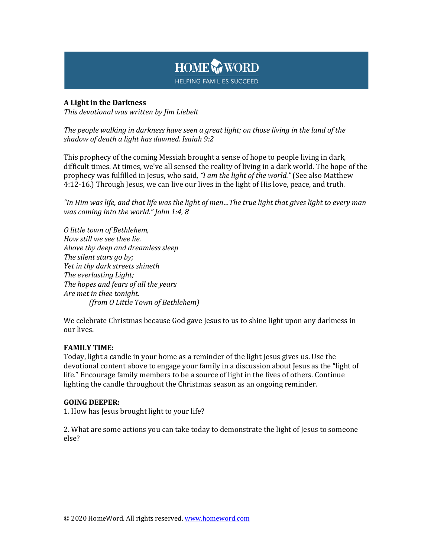

## **A** Light in the Darkness

*This devotional was written by Jim Liebelt*

The people walking in darkness have seen a great light; on those living in the land of the shadow of death a light has dawned. Isaiah 9:2

This prophecy of the coming Messiah brought a sense of hope to people living in dark, difficult times. At times, we've all sensed the reality of living in a dark world. The hope of the prophecy was fulfilled in Jesus, who said, "I am the light of the world." (See also Matthew 4:12-16.) Through Jesus, we can live our lives in the light of His love, peace, and truth.

*"In Him was life, and that life was the light of men…The true light that gives light to every man was coming into the world." John 1:4, 8* 

*O little town of Bethlehem, How still we see thee lie. Above thy deep and dreamless sleep* The silent stars go by; *Yet in thy dark streets shineth* The everlasting Light; *The hopes and fears of all the years* Are met in thee tonight. *(from O Little Town of Bethlehem)*

We celebrate Christmas because God gave Jesus to us to shine light upon any darkness in our lives.

## **FAMILY TIME:**

Today, light a candle in your home as a reminder of the light Jesus gives us. Use the devotional content above to engage your family in a discussion about Jesus as the "light of life." Encourage family members to be a source of light in the lives of others. Continue lighting the candle throughout the Christmas season as an ongoing reminder.

## **GOING DEEPER:**

1. How has Jesus brought light to your life?

2. What are some actions you can take today to demonstrate the light of Jesus to someone else?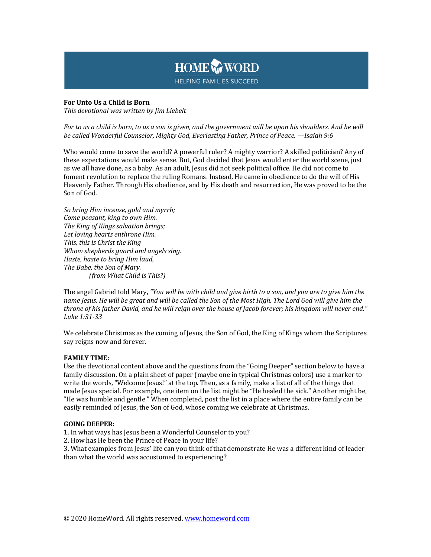

### **For Unto Us a Child is Born**

This devotional was written by *Jim Liebelt* 

*For* to us a child is born, to us a son is given, and the government will be upon his shoulders. And he will be called Wonderful Counselor, Mighty God, Everlasting Father, Prince of Peace. —Isaiah 9:6

Who would come to save the world? A powerful ruler? A mighty warrior? A skilled politician? Any of these expectations would make sense. But, God decided that Jesus would enter the world scene, just as we all have done, as a baby. As an adult, Jesus did not seek political office. He did not come to foment revolution to replace the ruling Romans. Instead, He came in obedience to do the will of His Heavenly Father. Through His obedience, and by His death and resurrection, He was proved to be the Son of God.

*So bring Him incense, gold and myrrh; Come peasant, king to own Him. The King of Kings salvation brings;* Let loving hearts enthrone *Him.* This, this is Christ the King *Whom shepherds guard and angels sing. Haste, haste to bring Him laud,* The Babe, the Son of Mary. *(from What Child is This?)*

The angel Gabriel told Mary, "You will be with child and give birth to a son, and you are to give him the *name Jesus.* He will be great and will be called the Son of the Most High. The Lord God will give him the *throne* of his father David, and he will reign over the house of Jacob forever; his kingdom will never end." *Luke 1:31-33*

We celebrate Christmas as the coming of Jesus, the Son of God, the King of Kings whom the Scriptures say reigns now and forever.

### **FAMILY TIME:**

Use the devotional content above and the questions from the "Going Deeper" section below to have a family discussion. On a plain sheet of paper (maybe one in typical Christmas colors) use a marker to write the words, "Welcome Jesus!" at the top. Then, as a family, make a list of all of the things that made Jesus special. For example, one item on the list might be "He healed the sick." Another might be, "He was humble and gentle." When completed, post the list in a place where the entire family can be easily reminded of Jesus, the Son of God, whose coming we celebrate at Christmas.

### **GOING DEEPER:**

1. In what ways has Jesus been a Wonderful Counselor to you?

2. How has He been the Prince of Peace in your life?

3. What examples from Jesus' life can you think of that demonstrate He was a different kind of leader than what the world was accustomed to experiencing?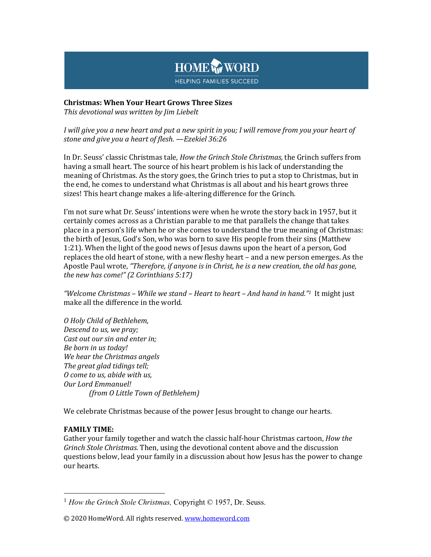# HOME WORD **HELPING FAMILIES SUCCEED**

# **Christmas: When Your Heart Grows Three Sizes**

*This devotional was written by Jim Liebelt*

*I* will give you a new heart and put a new spirit in you; I will remove from you your heart of stone and give you a heart of flesh. - Ezekiel 36:26

In Dr. Seuss' classic Christmas tale, *How the Grinch Stole Christmas*, the Grinch suffers from having a small heart. The source of his heart problem is his lack of understanding the meaning of Christmas. As the story goes, the Grinch tries to put a stop to Christmas, but in the end, he comes to understand what Christmas is all about and his heart grows three sizes! This heart change makes a life-altering difference for the Grinch.

I'm not sure what Dr. Seuss' intentions were when he wrote the story back in 1957, but it certainly comes across as a Christian parable to me that parallels the change that takes place in a person's life when he or she comes to understand the true meaning of Christmas: the birth of Jesus, God's Son, who was born to save His people from their sins (Matthew 1:21). When the light of the good news of Jesus dawns upon the heart of a person, God replaces the old heart of stone, with a new fleshy heart – and a new person emerges. As the Apostle Paul wrote, "Therefore, if anyone is in Christ, he is a new creation, the old has gone, *the new has come!"* (2 *Corinthians* 5:17)

*"Welcome Christmas* – *While we stand* – *Heart to heart* – *And hand in hand."1* It might just make all the difference in the world.

*O Holy Child of Bethlehem, Descend to us, we pray; Cast out our sin and enter in; Be born in us today! We hear the Christmas angels The great glad tidings tell; O come to us, abide with us,* **Our Lord Emmanuel!** *(from O Little Town of Bethlehem)*

We celebrate Christmas because of the power Jesus brought to change our hearts.

# **FAMILY TIME:**

Gather your family together and watch the classic half-hour Christmas cartoon, *How the Grinch Stole Christmas.* Then, using the devotional content above and the discussion questions below, lead your family in a discussion about how Jesus has the power to change our hearts.

<sup>&</sup>lt;sup>1</sup> *How the Grinch Stole Christmas, Copyright © 1957, Dr. Seuss.* 

<sup>© 2020</sup> HomeWord. All rights reserved. www.homeword.com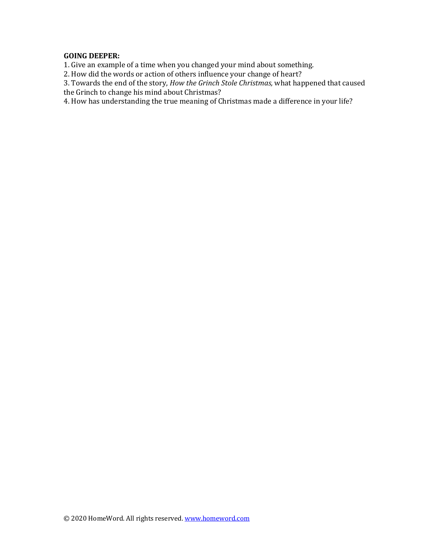## **GOING DEEPER:**

1. Give an example of a time when you changed your mind about something.

2. How did the words or action of others influence your change of heart?

3. Towards the end of the story, *How the Grinch Stole Christmas*, what happened that caused

the Grinch to change his mind about Christmas?

4. How has understanding the true meaning of Christmas made a difference in your life?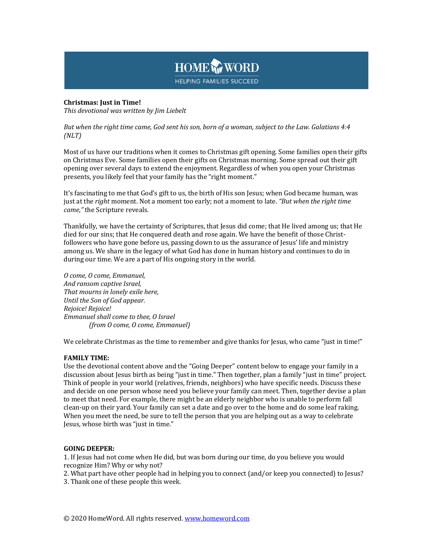

# **Christmas: Just in Time!**

This devotional was written by *Jim Liebelt* 

*But* when the right time came, God sent his son, born of a woman, subject to the Law. Galatians 4:4 *(NLT)*

Most of us have our traditions when it comes to Christmas gift opening. Some families open their gifts on Christmas Eve. Some families open their gifts on Christmas morning. Some spread out their gift opening over several days to extend the enjoyment. Regardless of when you open your Christmas presents, you likely feel that your family has the "right moment."

It's fascinating to me that God's gift to us, the birth of His son Jesus; when God became human, was just at the *right* moment. Not a moment too early; not a moment to late. *"But when the right time came,"* the Scripture reveals.

Thankfully, we have the certainty of Scriptures, that Jesus did come; that He lived among us; that He died for our sins; that He conquered death and rose again. We have the benefit of those Christfollowers who have gone before us, passing down to us the assurance of Jesus' life and ministry among us. We share in the legacy of what God has done in human history and continues to do in during our time. We are a part of His ongoing story in the world.

*O come, O come, Emmanuel, And ransom captive Israel,* That mourns in lonely exile here, *Until the Son of God appear. Rejoice! Rejoice! Emmanuel shall come to thee, O Israel (from O come, O come, Emmanuel)*

We celebrate Christmas as the time to remember and give thanks for Jesus, who came "just in time!"

### **FAMILY TIME:**

Use the devotional content above and the "Going Deeper" content below to engage your family in a discussion about Jesus birth as being "just in time." Then together, plan a family "just in time" project. Think of people in your world (relatives, friends, neighbors) who have specific needs. Discuss these and decide on one person whose need you believe your family can meet. Then, together devise a plan to meet that need. For example, there might be an elderly neighbor who is unable to perform fall clean-up on their yard. Your family can set a date and go over to the home and do some leaf raking. When you meet the need, be sure to tell the person that you are helping out as a way to celebrate Jesus, whose birth was "just in time."

### **GOING DEEPER:**

1. If Jesus had not come when He did, but was born during our time, do you believe you would recognize Him? Why or why not?

2. What part have other people had in helping you to connect (and/or keep you connected) to Jesus?

3. Thank one of these people this week.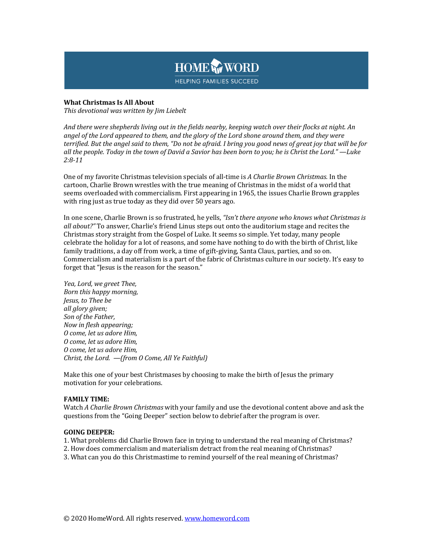

### **What Christmas Is All About**

This devotional was written by *Jim Liebelt* 

And there were shepherds living out in the fields nearby, keeping watch over their flocks at night. An angel of the Lord appeared to them, and the glory of the Lord shone around them, and they were *terrified.* But the angel said to them, "Do not be afraid. I bring you good news of great joy that will be for *all* the people. Today in the town of David a Savior has been born to you; he is Christ the Lord." —Luke *2:8-11*

One of my favorite Christmas television specials of all-time is *A Charlie Brown Christmas*. In the cartoon, Charlie Brown wrestles with the true meaning of Christmas in the midst of a world that seems overloaded with commercialism. First appearing in 1965, the issues Charlie Brown grapples with ring just as true today as they did over 50 years ago.

In one scene, Charlie Brown is so frustrated, he yells, *"Isn't there anyone who knows what Christmas is all* about?" To answer, Charlie's friend Linus steps out onto the auditorium stage and recites the Christmas story straight from the Gospel of Luke. It seems so simple. Yet today, many people celebrate the holiday for a lot of reasons, and some have nothing to do with the birth of Christ, like family traditions, a day off from work, a time of gift-giving, Santa Claus, parties, and so on. Commercialism and materialism is a part of the fabric of Christmas culture in our society. It's easy to forget that "Jesus is the reason for the season."

*Yea, Lord, we greet Thee, Born this happy morning, Jesus, to Thee be all glory given; Son of the Father, Now in flesh appearing; O come, let us adore Him, O come, let us adore Him, O come, let us adore Him, Christ, the Lord.*  $-\text{from } 0 \text{ Come}$ , All Ye Faithful)

Make this one of your best Christmases by choosing to make the birth of Jesus the primary motivation for your celebrations.

### **FAMILY TIME:**

Watch *A* Charlie Brown Christmas with your family and use the devotional content above and ask the questions from the "Going Deeper" section below to debrief after the program is over.

### **GOING DEEPER:**

- 1. What problems did Charlie Brown face in trying to understand the real meaning of Christmas?
- 2. How does commercialism and materialism detract from the real meaning of Christmas?
- 3. What can you do this Christmastime to remind yourself of the real meaning of Christmas?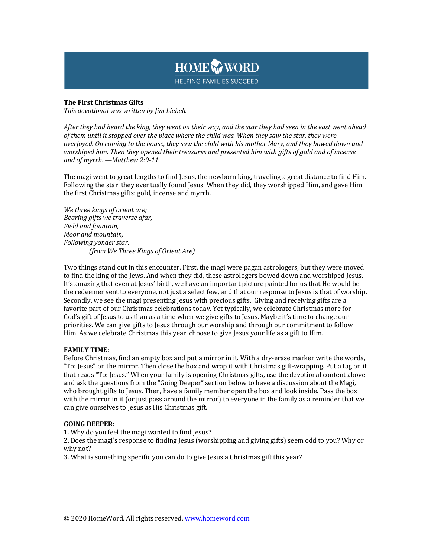

### **The First Christmas Gifts**

This devotional was written by *Jim Liebelt* 

After they had heard the king, they went on their way, and the star they had seen in the east went ahead of them until it stopped over the place where the child was. When they saw the star, they were *overjoyed.* On coming to the house, they saw the child with his mother Mary, and they bowed down and worshiped him. Then they opened their treasures and presented him with gifts of gold and of incense *and of myrrh. —Matthew 2:9-11*

The magi went to great lengths to find Jesus, the newborn king, traveling a great distance to find Him. Following the star, they eventually found Jesus. When they did, they worshipped Him, and gave Him the first Christmas gifts: gold, incense and myrrh.

*We three kings of orient are; Bearing gifts we traverse afar, Field and fountain, Moor and mountain, Following yonder star. (from We Three Kings of Orient Are)*

Two things stand out in this encounter. First, the magi were pagan astrologers, but they were moved to find the king of the Jews. And when they did, these astrologers bowed down and worshiped Jesus. It's amazing that even at Jesus' birth, we have an important picture painted for us that He would be the redeemer sent to everyone, not just a select few, and that our response to Jesus is that of worship. Secondly, we see the magi presenting Jesus with precious gifts. Giving and receiving gifts are a favorite part of our Christmas celebrations today. Yet typically, we celebrate Christmas more for God's gift of Jesus to us than as a time when we give gifts to Jesus. Maybe it's time to change our priorities. We can give gifts to Jesus through our worship and through our commitment to follow Him. As we celebrate Christmas this year, choose to give Jesus your life as a gift to Him.

### **FAMILY TIME:**

Before Christmas, find an empty box and put a mirror in it. With a dry-erase marker write the words, "To: Jesus" on the mirror. Then close the box and wrap it with Christmas gift-wrapping. Put a tag on it that reads "To: Jesus." When your family is opening Christmas gifts, use the devotional content above and ask the questions from the "Going Deeper" section below to have a discussion about the Magi, who brought gifts to Jesus. Then, have a family member open the box and look inside. Pass the box with the mirror in it (or just pass around the mirror) to everyone in the family as a reminder that we can give ourselves to Jesus as His Christmas gift.

### **GOING DEEPER:**

1. Why do you feel the magi wanted to find Jesus?

2. Does the magi's response to finding Jesus (worshipping and giving gifts) seem odd to you? Why or why not?

3. What is something specific you can do to give Jesus a Christmas gift this year?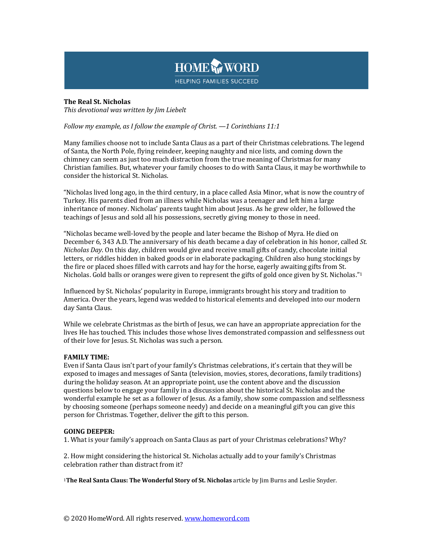

### **The Real St. Nicholas** This devotional was written by *Jim Liebelt*

### *Follow my example, as I follow the example of Christ.* —1 *Corinthians* 11:1

Many families choose not to include Santa Claus as a part of their Christmas celebrations. The legend of Santa, the North Pole, flying reindeer, keeping naughty and nice lists, and coming down the chimney can seem as just too much distraction from the true meaning of Christmas for many Christian families. But, whatever your family chooses to do with Santa Claus, it may be worthwhile to consider the historical St. Nicholas.

"Nicholas lived long ago, in the third century, in a place called Asia Minor, what is now the country of Turkey. His parents died from an illness while Nicholas was a teenager and left him a large inheritance of money. Nicholas' parents taught him about Jesus. As he grew older, he followed the teachings of Jesus and sold all his possessions, secretly giving money to those in need.

"Nicholas became well-loved by the people and later became the Bishop of Myra. He died on December 6, 343 A.D. The anniversary of his death became a day of celebration in his honor, called *St. Nicholas Day*. On this day, children would give and receive small gifts of candy, chocolate initial letters, or riddles hidden in baked goods or in elaborate packaging. Children also hung stockings by the fire or placed shoes filled with carrots and hay for the horse, eagerly awaiting gifts from St. Nicholas. Gold balls or oranges were given to represent the gifts of gold once given by St. Nicholas."<sup>1</sup>

Influenced by St. Nicholas' popularity in Europe, immigrants brought his story and tradition to America. Over the years, legend was wedded to historical elements and developed into our modern day Santa Claus.

While we celebrate Christmas as the birth of Jesus, we can have an appropriate appreciation for the lives He has touched. This includes those whose lives demonstrated compassion and selflessness out of their love for Jesus. St. Nicholas was such a person.

### **FAMILY TIME:**

Even if Santa Claus isn't part of your family's Christmas celebrations, it's certain that they will be exposed to images and messages of Santa (television, movies, stores, decorations, family traditions) during the holiday season. At an appropriate point, use the content above and the discussion questions below to engage your family in a discussion about the historical St. Nicholas and the wonderful example he set as a follower of Jesus. As a family, show some compassion and selflessness by choosing someone (perhaps someone needy) and decide on a meaningful gift you can give this person for Christmas. Together, deliver the gift to this person.

### **GOING DEEPER:**

1. What is your family's approach on Santa Claus as part of your Christmas celebrations? Why?

2. How might considering the historical St. Nicholas actually add to your family's Christmas celebration rather than distract from it?

<sup>1</sup>The Real Santa Claus: The Wonderful Story of St. Nicholas article by Jim Burns and Leslie Snyder.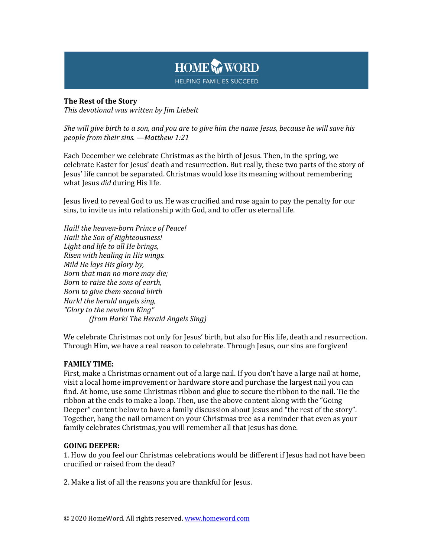

# **The Rest of the Story**

*This devotional was written by Jim Liebelt*

*She will give birth to a son, and you are to give him the name Jesus, because he will save his people from their sins. —Matthew 1:21*

Each December we celebrate Christmas as the birth of Jesus. Then, in the spring, we celebrate Easter for Jesus' death and resurrection. But really, these two parts of the story of Jesus' life cannot be separated. Christmas would lose its meaning without remembering what Jesus *did* during His life.

Jesus lived to reveal God to us. He was crucified and rose again to pay the penalty for our sins, to invite us into relationship with God, and to offer us eternal life.

*Hail! the heaven-born Prince of Peace! Hail! the Son of Righteousness!* Light and life to all He brings, *Risen with healing in His wings. Mild He lays His glory by, Born that man no more may die; Born to raise the sons of earth, Born to give them second birth Hark!* the herald angels sing, *"Glory to the newborn King" (from Hark! The Herald Angels Sing)*

We celebrate Christmas not only for Jesus' birth, but also for His life, death and resurrection. Through Him, we have a real reason to celebrate. Through Jesus, our sins are forgiven!

# **FAMILY TIME:**

First, make a Christmas ornament out of a large nail. If you don't have a large nail at home, visit a local home improvement or hardware store and purchase the largest nail you can find. At home, use some Christmas ribbon and glue to secure the ribbon to the nail. Tie the ribbon at the ends to make a loop. Then, use the above content along with the "Going" Deeper" content below to have a family discussion about Jesus and "the rest of the story". Together, hang the nail ornament on your Christmas tree as a reminder that even as your family celebrates Christmas, you will remember all that Jesus has done.

## **GOING DEEPER:**

1. How do you feel our Christmas celebrations would be different if Jesus had not have been crucified or raised from the dead?

2. Make a list of all the reasons you are thankful for Jesus.